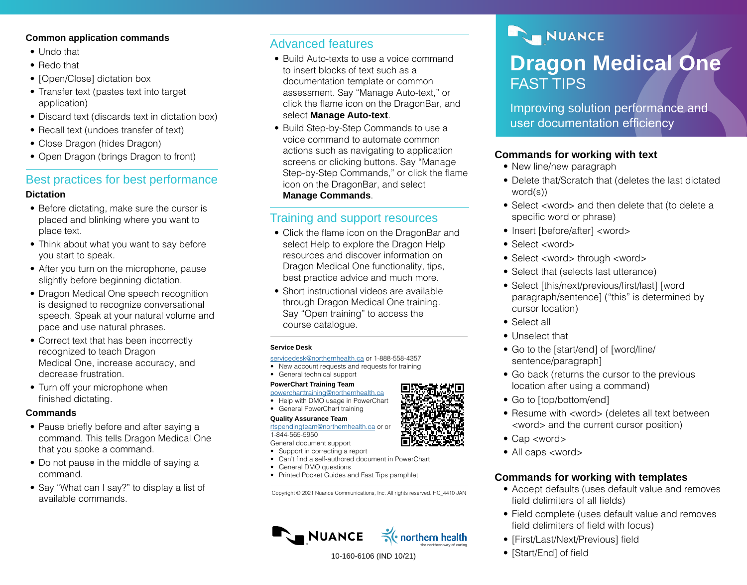#### **Common application commands**

- Undo that
- Redo that
- [Open/Close] dictation box
- Transfer text (pastes text into target application)
- Discard text (discards text in dictation box)
- Recall text (undoes transfer of text)
- Close Dragon (hides Dragon)
- Open Dragon (brings Dragon to front)

## Best practices for best performance

#### **Dictation**

- Before dictating, make sure the cursor is placed and blinking where you want to place text.
- Think about what you want to say before you start to speak.
- After you turn on the microphone, pause slightly before beginning dictation.
- Dragon Medical One speech recognition is designed to recognize conversational speech. Speak at your natural volume and pace and use natural phrases.
- Correct text that has been incorrectly recognized to teach Dragon Medical One, increase accuracy, and decrease frustration.
- Turn off your microphone when finished dictating.

#### **Commands**

- Pause briefly before and after saying a command. This tells Dragon Medical One that you spoke a command.
- Do not pause in the middle of saying a command.
- Say "What can I say?" to display a list of available commands.

## Advanced features

- Build Auto-texts to use a voice command to insert blocks of text such as a documentation template or common assessment. Say "Manage Auto-text," or click the flame icon on the DragonBar, and select **Manage Auto-text**.
- Build Step-by-Step Commands to use a voice command to automate common actions such as navigating to application screens or clicking buttons. Say "Manage Step-by-Step Commands," or click the flame icon on the DragonBar, and select **Manage Commands**.

## Training and support resources

- Click the flame icon on the DragonBar and select Help to explore the Dragon Help resources and discover information on Dragon Medical One functionality, tips, best practice advice and much more.
- Short instructional videos are available through Dragon Medical One training. Say "Open training" to access the course catalogue.

#### **Service Desk**

[servicedesk@northernhealth.ca](mailto:servicedesk%40northernhealth.ca?subject=) or 1-888-558-4357

• New account requests and requests for training

#### • General technical support **PowerChart Training Team**

- [powercharttraining@northernhealth.ca](mailto:powercharttraining%40northernhealth.ca?subject=) • Help with DMO usage in PowerChart
- General PowerChart training

#### **Quality Assurance Team**

[rtspendingteam@northernhealth.ca](mailto:rtspendingteam%40northernhealth.ca?subject=) or or 1-844-565-5950

General document support • Support in correcting a report

- Can't find a self-authored document in PowerChart
- General DMO questions
- Printed Pocket Guides and Fast Tips pamphlet

Copyright © 2021 Nuance Communications, Inc. All rights reserved. HC\_4410 JAN



10-160-6106 (IND 10/21)

# NUANCE **Dragon Medical One**  FAST TIPS

Improving solution performance and user documentation efficiency

## **Commands for working with text**

- New line/new paragraph
- Delete that/Scratch that (deletes the last dictated word(s))
- Select <word> and then delete that (to delete a specific word or phrase)
- Insert [before/after] <word>
- Select <word>
- Select <word> through <word>
- Select that (selects last utterance)
- Select [this/next/previous/first/last] [word paragraph/sentence] ("this" is determined by cursor location)
- Select all
- Unselect that
- Go to the [start/end] of [word/line/ sentence/paragraph]
- Go back (returns the cursor to the previous location after using a command)
- Go to [top/bottom/end]
- Resume with <word> (deletes all text between <word> and the current cursor position)
- Cap <word>
- All caps <word>

## **Commands for working with templates**

- Accept defaults (uses default value and removes field delimiters of all fields)
- Field complete (uses default value and removes field delimiters of field with focus)
- [First/Last/Next/Previous] field
- [Start/End] of field